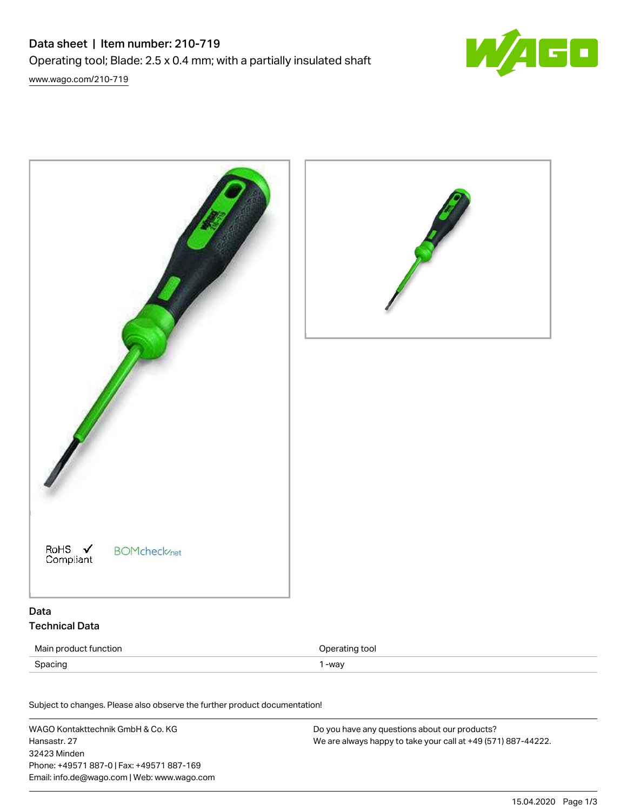



| Main product function | Operating tool |
|-----------------------|----------------|
| Spacing               | -wav           |

Subject to changes. Please also observe the further product documentation! Material Data

WAGO Kontakttechnik GmbH & Co. KG Hansastr. 27 32423 Minden Phone: +49571 887-0 | Fax: +49571 887-169 Email: info.de@wago.com | Web: www.wago.com Do you have any questions about our products? We are always happy to take your call at +49 (571) 887-44222.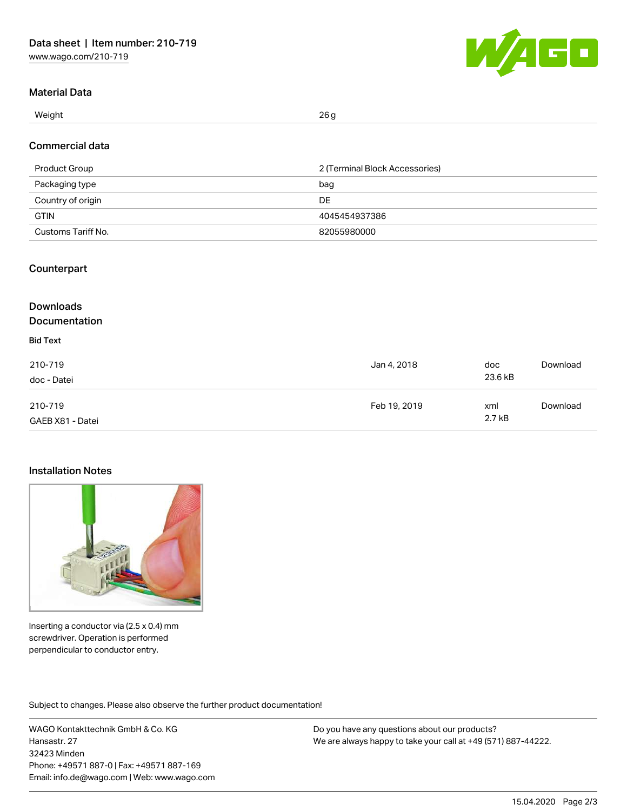

### Material Data

Weight  $\,$  26 g  $\,$ 

## Commercial data

| Product Group      | 2 (Terminal Block Accessories) |
|--------------------|--------------------------------|
| Packaging type     | bag                            |
| Country of origin  | DE                             |
| <b>GTIN</b>        | 4045454937386                  |
| Customs Tariff No. | 82055980000                    |

### Counterpart

#### **Downloads** Documentation Bid Text 210-719 doc - Datei Jan 4, 2018 doc 23.6 kB [Download](https://www.wago.com/de/d/2257603) 210-719 GAEB X81 - Datei Feb 19, 2019 xml 2.7 kB [Download](https://www.wago.com/de/d/2257540)

### Installation Notes



Inserting a conductor via (2.5 x 0.4) mm screwdriver. Operation is performed perpendicular to conductor entry.

Subject to changes. Please also observe the further product documentation!

WAGO Kontakttechnik GmbH & Co. KG Hansastr. 27 32423 Minden Phone: +49571 887-0 | Fax: +49571 887-169 Email: info.de@wago.com | Web: www.wago.com

Do you have any questions about our products? We are always happy to take your call at +49 (571) 887-44222.